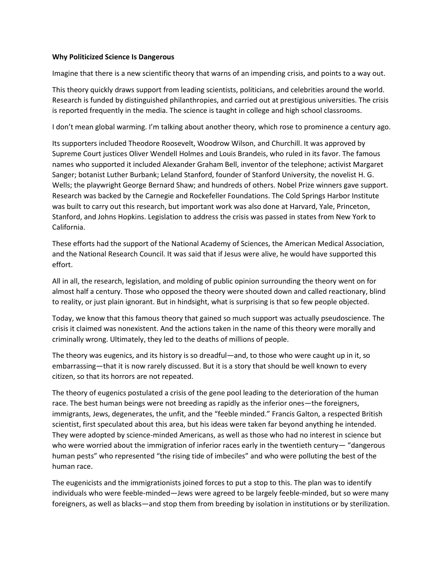## **Why Politicized Science Is Dangerous**

Imagine that there is a new scientific theory that warns of an impending crisis, and points to a way out.

This theory quickly draws support from leading scientists, politicians, and celebrities around the world. Research is funded by distinguished philanthropies, and carried out at prestigious universities. The crisis is reported frequently in the media. The science is taught in college and high school classrooms.

I don't mean global warming. I'm talking about another theory, which rose to prominence a century ago.

Its supporters included Theodore Roosevelt, Woodrow Wilson, and Churchill. It was approved by Supreme Court justices Oliver Wendell Holmes and Louis Brandeis, who ruled in its favor. The famous names who supported it included Alexander Graham Bell, inventor of the telephone; activist Margaret Sanger; botanist Luther Burbank; Leland Stanford, founder of Stanford University, the novelist H. G. Wells; the playwright George Bernard Shaw; and hundreds of others. Nobel Prize winners gave support. Research was backed by the Carnegie and Rockefeller Foundations. The Cold Springs Harbor Institute was built to carry out this research, but important work was also done at Harvard, Yale, Princeton, Stanford, and Johns Hopkins. Legislation to address the crisis was passed in states from New York to California.

These efforts had the support of the National Academy of Sciences, the American Medical Association, and the National Research Council. It was said that if Jesus were alive, he would have supported this effort.

All in all, the research, legislation, and molding of public opinion surrounding the theory went on for almost half a century. Those who opposed the theory were shouted down and called reactionary, blind to reality, or just plain ignorant. But in hindsight, what is surprising is that so few people objected.

Today, we know that this famous theory that gained so much support was actually pseudoscience. The crisis it claimed was nonexistent. And the actions taken in the name of this theory were morally and criminally wrong. Ultimately, they led to the deaths of millions of people.

The theory was eugenics, and its history is so dreadful—and, to those who were caught up in it, so embarrassing—that it is now rarely discussed. But it is a story that should be well known to every citizen, so that its horrors are not repeated.

The theory of eugenics postulated a crisis of the gene pool leading to the deterioration of the human race. The best human beings were not breeding as rapidly as the inferior ones—the foreigners, immigrants, Jews, degenerates, the unfit, and the "feeble minded." Francis Galton, a respected British scientist, first speculated about this area, but his ideas were taken far beyond anything he intended. They were adopted by science-minded Americans, as well as those who had no interest in science but who were worried about the immigration of inferior races early in the twentieth century— "dangerous human pests" who represented "the rising tide of imbeciles" and who were polluting the best of the human race.

The eugenicists and the immigrationists joined forces to put a stop to this. The plan was to identify individuals who were feeble-minded—Jews were agreed to be largely feeble-minded, but so were many foreigners, as well as blacks—and stop them from breeding by isolation in institutions or by sterilization.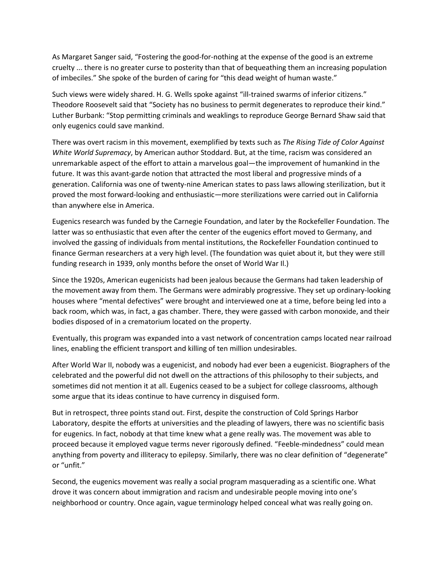As Margaret Sanger said, "Fostering the good-for-nothing at the expense of the good is an extreme cruelty ... there is no greater curse to posterity than that of bequeathing them an increasing population of imbeciles." She spoke of the burden of caring for "this dead weight of human waste."

Such views were widely shared. H. G. Wells spoke against "ill-trained swarms of inferior citizens." Theodore Roosevelt said that "Society has no business to permit degenerates to reproduce their kind." Luther Burbank: "Stop permitting criminals and weaklings to reproduce George Bernard Shaw said that only eugenics could save mankind.

There was overt racism in this movement, exemplified by texts such as *The Rising Tide of Color Against White World Supremacy*, by American author Stoddard. But, at the time, racism was considered an unremarkable aspect of the effort to attain a marvelous goal—the improvement of humankind in the future. It was this avant-garde notion that attracted the most liberal and progressive minds of a generation. California was one of twenty-nine American states to pass laws allowing sterilization, but it proved the most forward-looking and enthusiastic—more sterilizations were carried out in California than anywhere else in America.

Eugenics research was funded by the Carnegie Foundation, and later by the Rockefeller Foundation. The latter was so enthusiastic that even after the center of the eugenics effort moved to Germany, and involved the gassing of individuals from mental institutions, the Rockefeller Foundation continued to finance German researchers at a very high level. (The foundation was quiet about it, but they were still funding research in 1939, only months before the onset of World War Il.)

Since the 1920s, American eugenicists had been jealous because the Germans had taken leadership of the movement away from them. The Germans were admirably progressive. They set up ordinary-looking houses where "mental defectives" were brought and interviewed one at a time, before being led into a back room, which was, in fact, a gas chamber. There, they were gassed with carbon monoxide, and their bodies disposed of in a crematorium located on the property.

Eventually, this program was expanded into a vast network of concentration camps located near railroad lines, enabling the efficient transport and killing of ten million undesirables.

After World War II, nobody was a eugenicist, and nobody had ever been a eugenicist. Biographers of the celebrated and the powerful did not dwell on the attractions of this philosophy to their subjects, and sometimes did not mention it at all. Eugenics ceased to be a subject for college classrooms, although some argue that its ideas continue to have currency in disguised form.

But in retrospect, three points stand out. First, despite the construction of Cold Springs Harbor Laboratory, despite the efforts at universities and the pleading of lawyers, there was no scientific basis for eugenics. In fact, nobody at that time knew what a gene really was. The movement was able to proceed because it employed vague terms never rigorously defined. "Feeble-mindedness" could mean anything from poverty and illiteracy to epilepsy. Similarly, there was no clear definition of "degenerate" or "unfit."

Second, the eugenics movement was really a social program masquerading as a scientific one. What drove it was concern about immigration and racism and undesirable people moving into one's neighborhood or country. Once again, vague terminology helped conceal what was really going on.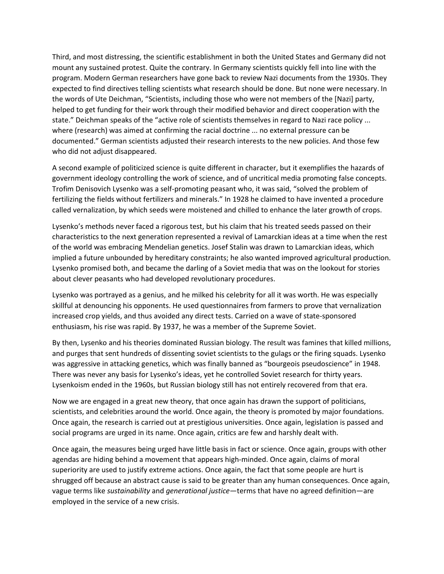Third, and most distressing, the scientific establishment in both the United States and Germany did not mount any sustained protest. Quite the contrary. In Germany scientists quickly fell into line with the program. Modern German researchers have gone back to review Nazi documents from the 1930s. They expected to find directives telling scientists what research should be done. But none were necessary. In the words of Ute Deichman, "Scientists, including those who were not members of the [Nazi] party, helped to get funding for their work through their modified behavior and direct cooperation with the state." Deichman speaks of the "active role of scientists themselves in regard to Nazi race policy ... where (research) was aimed at confirming the racial doctrine ... no external pressure can be documented." German scientists adjusted their research interests to the new policies. And those few who did not adjust disappeared.

A second example of politicized science is quite different in character, but it exemplifies the hazards of government ideology controlling the work of science, and of uncritical media promoting false concepts. Trofim Denisovich Lysenko was a self-promoting peasant who, it was said, "solved the problem of fertilizing the fields without fertilizers and minerals." In 1928 he claimed to have invented a procedure called vernalization, by which seeds were moistened and chilled to enhance the later growth of crops.

Lysenko's methods never faced a rigorous test, but his claim that his treated seeds passed on their characteristics to the next generation represented a revival of Lamarckian ideas at a time when the rest of the world was embracing Mendelian genetics. Josef Stalin was drawn to Lamarckian ideas, which implied a future unbounded by hereditary constraints; he also wanted improved agricultural production. Lysenko promised both, and became the darling of a Soviet media that was on the lookout for stories about clever peasants who had developed revolutionary procedures.

Lysenko was portrayed as a genius, and he milked his celebrity for all it was worth. He was especially skillful at denouncing his opponents. He used questionnaires from farmers to prove that vernalization increased crop yields, and thus avoided any direct tests. Carried on a wave of state-sponsored enthusiasm, his rise was rapid. By 1937, he was a member of the Supreme Soviet.

By then, Lysenko and his theories dominated Russian biology. The result was famines that killed millions, and purges that sent hundreds of dissenting soviet scientists to the gulags or the firing squads. Lysenko was aggressive in attacking genetics, which was finally banned as "bourgeois pseudoscience" in 1948. There was never any basis for Lysenko's ideas, yet he controlled Soviet research for thirty years. Lysenkoism ended in the 1960s, but Russian biology still has not entirely recovered from that era.

Now we are engaged in a great new theory, that once again has drawn the support of politicians, scientists, and celebrities around the world. Once again, the theory is promoted by major foundations. Once again, the research is carried out at prestigious universities. Once again, legislation is passed and social programs are urged in its name. Once again, critics are few and harshly dealt with.

Once again, the measures being urged have little basis in fact or science. Once again, groups with other agendas are hiding behind a movement that appears high-minded. Once again, claims of moral superiority are used to justify extreme actions. Once again, the fact that some people are hurt is shrugged off because an abstract cause is said to be greater than any human consequences. Once again, vague terms like *sustainability* and *generational justice*—terms that have no agreed definition—are employed in the service of a new crisis.